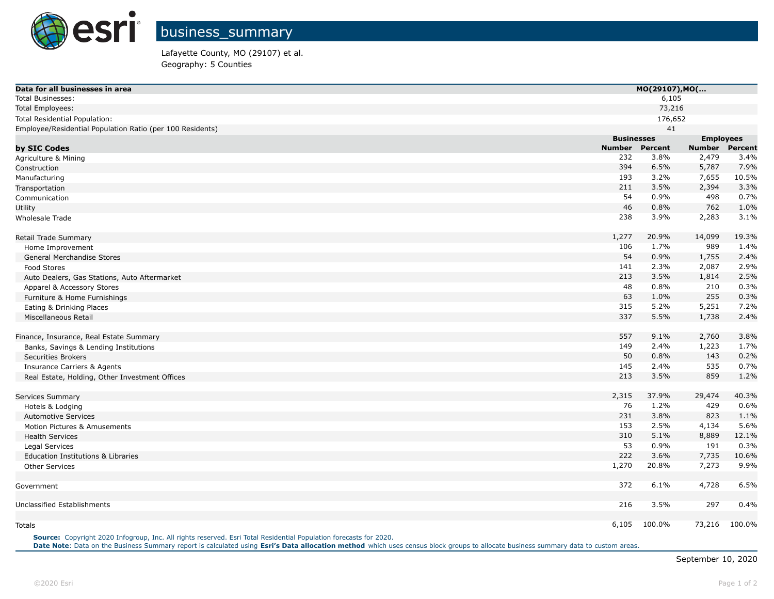

Lafayette County, MO (29107) et al. Geography: 5 Counties

| Data for all businesses in area                           |                   | MO(29107), MO( |                  |         |  |
|-----------------------------------------------------------|-------------------|----------------|------------------|---------|--|
| <b>Total Businesses:</b>                                  |                   | 6,105          |                  |         |  |
| <b>Total Employees:</b>                                   |                   | 73,216         |                  |         |  |
| Total Residential Population:                             |                   | 176,652        |                  |         |  |
| Employee/Residential Population Ratio (per 100 Residents) |                   | 41             |                  |         |  |
|                                                           | <b>Businesses</b> |                | <b>Employees</b> |         |  |
| by SIC Codes                                              | <b>Number</b>     | Percent        | <b>Number</b>    | Percent |  |
| Agriculture & Mining                                      | 232               | 3.8%           | 2,479            | 3.4%    |  |
| Construction                                              | 394               | 6.5%           | 5,787            | 7.9%    |  |
| Manufacturing                                             | 193               | 3.2%           | 7,655            | 10.5%   |  |
| Transportation                                            | 211               | 3.5%           | 2,394            | 3.3%    |  |
| Communication                                             | 54                | 0.9%           | 498              | 0.7%    |  |
| Utility                                                   | 46                | 0.8%           | 762              | 1.0%    |  |
| Wholesale Trade                                           | 238               | 3.9%           | 2,283            | 3.1%    |  |
| Retail Trade Summary                                      | 1,277             | 20.9%          | 14,099           | 19.3%   |  |
| Home Improvement                                          | 106               | 1.7%           | 989              | 1.4%    |  |
| General Merchandise Stores                                | 54                | 0.9%           | 1,755            | 2.4%    |  |
| Food Stores                                               | 141               | 2.3%           | 2,087            | 2.9%    |  |
| Auto Dealers, Gas Stations, Auto Aftermarket              | 213               | 3.5%           | 1,814            | 2.5%    |  |
| Apparel & Accessory Stores                                | 48                | 0.8%           | 210              | 0.3%    |  |
| Furniture & Home Furnishings                              | 63                | 1.0%           | 255              | 0.3%    |  |
| Eating & Drinking Places                                  | 315               | 5.2%           | 5,251            | 7.2%    |  |
| Miscellaneous Retail                                      | 337               | 5.5%           | 1,738            | 2.4%    |  |
| Finance, Insurance, Real Estate Summary                   | 557               | 9.1%           | 2,760            | 3.8%    |  |
| Banks, Savings & Lending Institutions                     | 149               | 2.4%           | 1,223            | 1.7%    |  |
| <b>Securities Brokers</b>                                 | 50                | 0.8%           | 143              | 0.2%    |  |
| <b>Insurance Carriers &amp; Agents</b>                    | 145               | 2.4%           | 535              | 0.7%    |  |
| Real Estate, Holding, Other Investment Offices            | 213               | 3.5%           | 859              | 1.2%    |  |
| Services Summary                                          | 2,315             | 37.9%          | 29,474           | 40.3%   |  |
| Hotels & Lodging                                          | 76                | 1.2%           | 429              | 0.6%    |  |
| <b>Automotive Services</b>                                | 231               | 3.8%           | 823              | 1.1%    |  |
| Motion Pictures & Amusements                              | 153               | 2.5%           | 4,134            | 5.6%    |  |
| <b>Health Services</b>                                    | 310               | 5.1%           | 8,889            | 12.1%   |  |
| Legal Services                                            | 53                | 0.9%           | 191              | 0.3%    |  |
| Education Institutions & Libraries                        | 222               | 3.6%           | 7,735            | 10.6%   |  |
| <b>Other Services</b>                                     | 1,270             | 20.8%          | 7,273            | 9.9%    |  |
| Government                                                | 372               | 6.1%           | 4,728            | 6.5%    |  |
| Unclassified Establishments                               | 216               | 3.5%           | 297              | 0.4%    |  |
|                                                           | 6,105             | 100.0%         | 73,216           | 100.0%  |  |
| Totals                                                    |                   |                |                  |         |  |

**Source:** Copyright 2020 Infogroup, Inc. All rights reserved. Esri Total Residential Population forecasts for 2020. **Date Note**: Data on the Business Summary report is calculated using **[Esri's Data allocation method](http://doc.arcgis.com/en/esri-demographics/reference/data-allocation-method.htm)** which uses census block groups to allocate business summary data to custom areas.